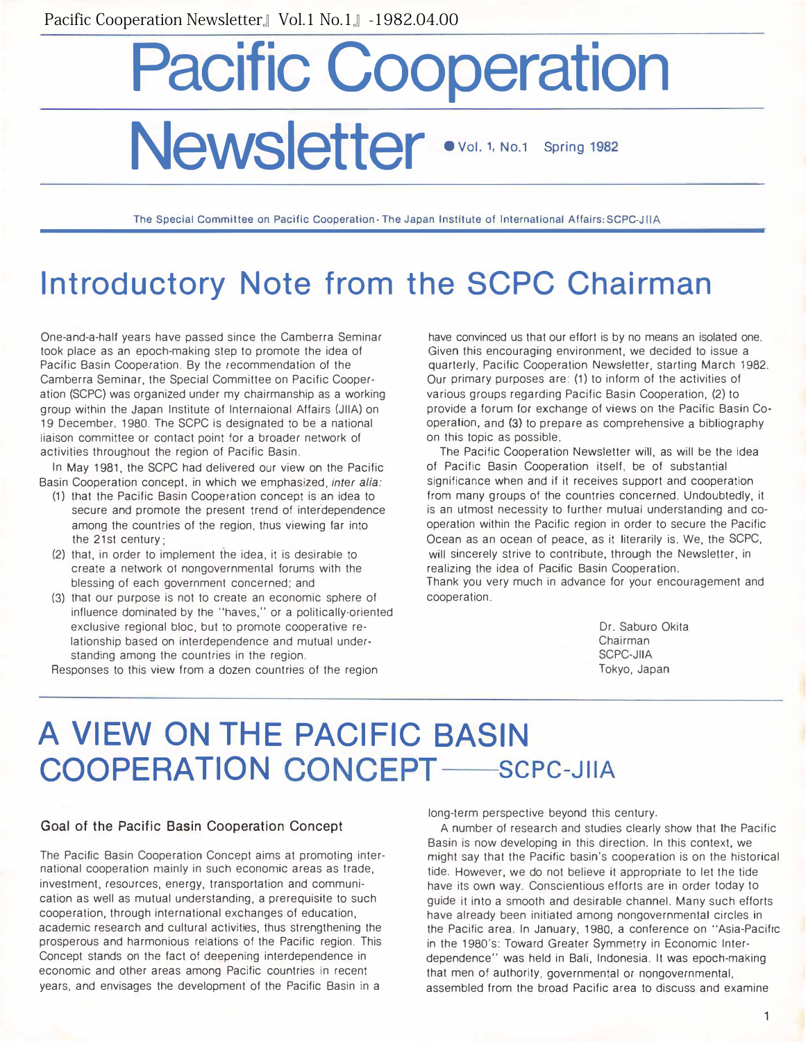# Pacific Cooperation Newsletter •vol. 1, No.1 Spring 1982

The Special Committee on Pacific Cooperation - The Japan Institute of International Affairs: SCPC-JIIA

# Introductory Note from the SCPC Chairman

One-and-a-half years have passed since the Camberra Seminar took place as an epoch-making step to promote the idea of Pacific Basin Cooperation. By the recommendation of the Camberra Seminar, the Special Committee on Pacific Cooperation (SCPC) was organized under my chairmanship as a working group within the Japan Institute of lnternaional Affairs (JllA) on 19 December. 1980. The SCPC is designated to be a national liaison committee or contact point for a broader network of activities throughout the region of Pacific Basin.

In May 1981, the SCPC had delivered our view on the Pacific Basin Cooperation concept, in which we emphasized, inter alia:

- (1) that the Pacific Basin Cooperation concept is an idea to secure and promote the present trend of interdependence among the countries of the region, thus viewing far into the 21st century;
- (2) that, in order to implement the idea, it is desirable to create a network of nongovernmental forums with the blessing of each government concerned; and
- (3) that our purpose is not to create an economic sphere of influence dominated by the "haves," or a politically-oriented exclusive regional bloc, but to promote cooperative relationship based on interdependence and mutual understanding among the countries in the region.

Responses to this view from a dozen countries of the region

have convinced us that our effort is by no means an isolated one. Given this encouraging environment, we decided to issue a quarterly, Pacific Cooperation Newsletter, starting March 1982. Our primary purposes are: (1) to inform of the activities of various groups regarding Pacific Basin Cooperation, (2) to provide a forum for exchange of views on the Pacific Basin Co・ operation, and (3) to prepare as comprehensive a bibliography on this topic as possible.

The Pacific Cooperation Newsletter will, as will be the idea of Pacific Basin Cooperation itself, be of substantial significance when and if it receives support and cooperation from many groups of the countries concerned. Undoubtedly, it is an utmost necessity to further mutual understanding and cooperation within the Pacific region in order to secure the Pacific Ocean as an ocean of peace, as it literarily is. We, the SCPC, will sincerely strive to contribute, through the Newsletter, in realizing the idea of Pacific Basin Cooperation. Thank you very much in advance for your encouragement and cooperation.

> Dr. Saburo Okita Chairman SCPC-JllA Tokyo, Japan

# A VIEW ON THE PACIFIC BASIN COOPERATION CONCEPT -SCPC-JIIA

#### Goal of the Pacific Basin Cooperation Concept

The Pacific Basin Cooperation Concept aims at promoting international cooperation mainly in such economic areas as trade, investment, resources, energy, transportation and communication as well as mutual understanding, a prerequisite to such cooperation, through international exchanges of education, academic research and cultural activities, thus strengthening the prosperous and harmonious relations of the Pacific region. This Concept stands on the fact of deepening interdependence in economic and other areas among Pacific countries in recent years, and envisages the development of the Pacific Basin in a

long-term perspective beyond this century.

A number of research and studies clearly show that the Pacific Basin is now developing in this direction. In this context, we might say that the Pacific basin's cooperation is on the historical tide. However, we do not believe it appropriate to let the tide have its own way. Conscientious efforts are in order today to guide it into a smooth and desirable channel. Many such efforts have already been initiated among nongovernmental circles in the Pacific area. In January, 1980, a conference on '・Asia-Pacific in the 1980's: Toward Greater Symmetry in Economic Interdependence" was held in Bali, Indonesia. It was epoch-making that men of authority, governmental or nongovernmental, assembled from the broad Pacific area to discuss and examine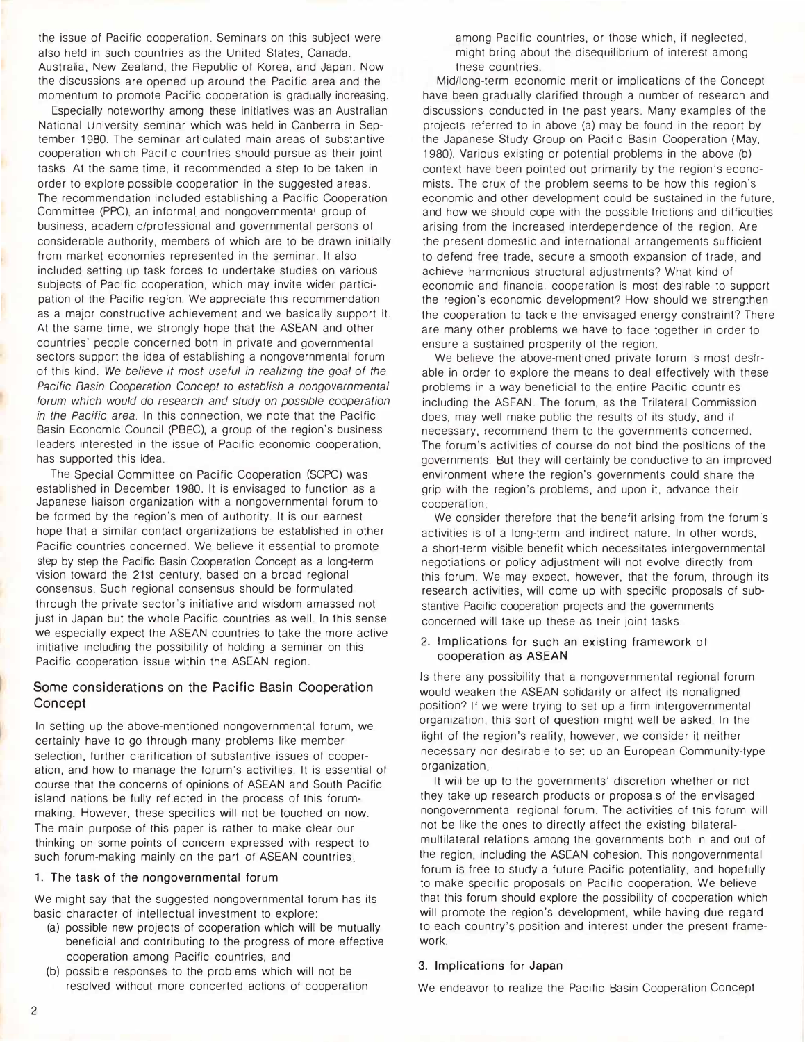the issue of Pacific cooperation. Seminars on this subject were also held in such countries as the United States, Canada. Australia, New Zealand, the Republic of Korea, and Japan. Now the discussions are opened up around the Pacific area and the momentum to promote Pacific cooperation is gradually increasing.

Especially noteworthy among these initiatives was an Australian National University seminar which was held in Canberra in September 1980. The seminar articulated main areas of substantive cooperation which Pacific countries should pursue as their joint tasks. At the same time, it recommended a step to be taken in order to explore possible cooperation in the suggested areas. The recommendation included establishing a Pacific Cooperation Committee (PPC), an informal and nongovernmental group of business, academic/professional and governmental persons of considerable authority, members of which are to be drawn initially from market economies represented in the seminar. It also included setting up task forces to undertake studies on various subjects of Pacific cooperation, which may invite wider participation of the Pacific region. We appreciate this recommendation as a major constructive achievement and we basically support it. At the same time, we strongly hope that the ASEAN and other countries' people concerned both in private and governmental sectors support the idea of establishing a nongovernmental forum of this kind. We believe it most useful in realizing the goal of the Pacific Basin Cooperation Concept to establish a nongovernmental forum which would do research and study on possible cooperation in the Pacific area. In this connection, we note that the Pacific Basin Economic Council (PBEC), a group of the region's business leaders interested in the issue of Pacific economic cooperation, has supported this idea.

The Special Committee on Pacific Cooperation (SCPC) was established in December 1980. It is envisaged to function as a Japanese liaison organization with a nongovernmental forum to be formed by the region's men of authority. It is our earnest hope that a similar contact organizations be established in other Pacific countries concerned. We believe it essential to promote step by step the Pacific Basin Cooperation Concept as a long-term vision toward the 21st century, based on a broad regional consensus. Such regional consensus should be formulated through the private sector's initiative and wisdom amassed not just in Japan but the whole Pacific countries as well. In this sense we especially expect the ASEAN countries to take the more active initiative including the possibility of holding a seminar on this Pacific cooperation issue within the ASEAN region.

#### Some considerations on the Pacific Basin Cooperation **Concept**

In setting up the above-mentioned nongovernmental forum, we certainly have to go through many problems like member selection, further clarification of substantive issues of cooperation, and how to manage the forum's activities. It is essential of course that the concerns of opinions of ASEAN and South Pacific island nations be fully reflected in the process of this forummaking. However, these specifics will not be touched on now. The main purpose of this paper is rather to make clear our thinking on some points of concern expressed with respect to such forum-making mainly on the part of ASEAN countries.

#### 1. The task of the nongovernmental forum

We might say that the suggested nongovernmental forum has its basic character of intellectual investment to explore:

- (a) possible new projects of cooperation which will be mutually beneficial and contributing to the progress of more effective cooperation among Pacific countries, and
- (b) possible responses to the problems which will not be resolved without more concerted actions of cooperation

among Pacific countries, or those which, if neglected, might bring about the disequilibrium of interest among these countries.

Midllong-term economic merit or implications of the Concept have been gradually clarified through a number of research and discussions conducted in the past years. Many examples of the projects referred to in above (a) may be found in the report by the Japanese Study Group on Pacific Basin Cooperation (May, 1980). Various existing or potential problems in the above (b) context have been pointed out primarily by the region's economists. The crux of the problem seems to be how this region'S economic and other development could be sustained in the future, and how we should cope with the possible frictions and difficulties arising from the increased interdependence of the region. Are the present domestic and international arrangements sufficient to defend free trade, secure a smooth expansion of trade, and achieve harmonious structural adjustments? What kind of economic and financial cooperation is most desirable to support the region's economic development? How should we strengthen the cooperation to tackle the envisaged energy constraint? There are many other problems we have to face together in order to ensure a sustained prosperity of the region.

We believe the above-mentioned private forum is most desirable in order to explore the means to deal effectively with these problems in a way beneficial to the entire Pacific countries including the ASEAN. The forum, as the Trilateral Commission does, may well make public the results of its study, and if necessary, recommend them to the governments concerned. The forum's activities of course do not bind the positions of the governments. But they will certainly be conductive to an improved environment where the region's governments could share the grip with the region's problems, and upon it, advance their cooperation

We consider therefore that the benefit arising from the forum's activities is of a long-term and indirect nature. In other words, a short-term visible benefit which necessitates intergovernmental negotiations or policy adjustment will not evolve directly from this forum. We may expect, however, that the forum, through its research activities, will come up with specific proposals of substantive Pacific cooperation projects and the governments concerned will take up these as their joint tasks.

#### 2. Implications for such an existing framework of cooperation as ASEAN

Is there any possibility that a nongovernmental regional forum would weaken the ASEAN solidarity or affect its nonaligned position? If we were trying to set up a firm intergovernmental organization, this sort of question might well be asked. In the light of the region's reality, however, we consider it neither necessary nor desirable to set up an European Community-type organization

It will be up to the governments' discretion whether or not they take up research products or proposals of the envisaged nongovernmental regional forum. The activities of this forum will not be like the ones to directly affect the existing bilateralmultilateral relations among the governments both in and out of the region, including the ASEAN cohesion. This nongovernmental forum is free to study a future Pacific potentiality, and hopefully to make specific proposals on Pacific cooperation. We believe that this forum should explore the possibility of cooperation which will promote the region's development, while having due regard to each country's position and interest under the present framework.

#### 3. Implications for Japan

We endeavor to realize the Pacific Basin Cooperation Concept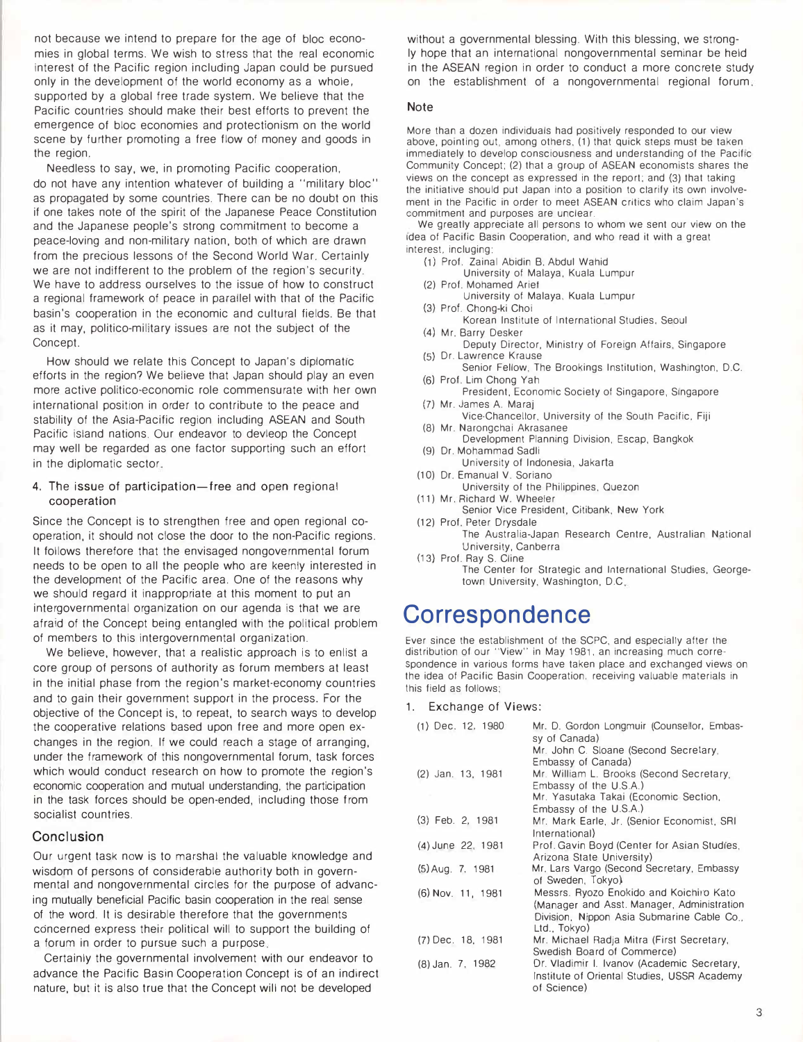not because we intend to prepare for the age of bloc economies in global terms. We wish to stress that the real economic interest of the Pacific region including Japan could be pursued only in the development of the world economy as a whole, supported by a global free trade system. We believe that the Pacific countries should make their best efforts to prevent the emergence of bloc economies and protectionism on the world scene by further promoting a free flow of money and goods in the region.

Needless to say, we, in promoting Pacific cooperation, do not have any intention whatever of building a "military bloc" as propagated by some countries. There can be no doubt on this if one takes note of the spirit of the Japanese Peace Constitution and the Japanese people's strong commitment to become a peace-loving and non-military nation, both of which are drawn from the precious lessons of the Second World War. Certainly we are not indifferent to the problem of the region's security. We have to address ourselves to the issue of how to construct a regional framework of peace in parallel with that of the Pacific basin's cooperation in the economic and cultural fields. Be that as it may, politico-military issues are not the subject of the Concept.

How should we relate this Concept to Japan's diplomatic efforts in the region? We believe that Japan should play an even more active politico-economic role commensurate with her own international position in order to contribute to the peace and stability of the Asia-Pacific region including ASEAN and South Pacific island nations. Our endeavor to devleop the Concept may well be regarded as one factor supporting such an effort in the diplomatic sector

4. The issue of participation-free and open regional cooperation

Since the Concept is to strengthen free and open regional cooperation, it should not close the door to the non-Pacific regions. It follows therefore that the envisaged nongovernmental forum needs to be open to all the people who are keenly interested in the development of the Pacific area. One of the reasons why we should regard it inappropriate at this moment to put an intergovernmental organization on our agenda is that we are afraid of the Concept being entangled with the political problem of members to this intergovernmental organization.

We believe, however, that a realistic approach is to enlist a core group of persons of authority as forum members at least in the initial phase from the region's market-economy countries and to gain their government support in the process. For the objective of the Concept is, to repeat, to search ways to develop the cooperative relations based upon free and more open exchanges in the region. If we could reach a stage of arranging, under the framework of this nongovernmental forum, task forces which would conduct research on how to promote the region's economic cooperation and mutual understanding, the participation in the task forces should be open-ended, including those from socialist countries.

#### Conclusion

Our urgent task now is to marshal the valuable knowledge and wisdom of persons of considerable authority both in governmental and nongovernmental circles for the purpose of advancing mutually beneficial Pacific basin cooperation in the real sense of the word. It is desirable therefore that the governments concerned express their political will to support the building of a forum in order to pursue such a purpose.

Certainly the governmental involvement with our endeavor to advance the Pacific Basin Cooperation Concept is of an indirect nature, but it is also true that the Concept will not be developed

without a governmental blessing. With this blessing, we strongly hope that an international nongovernmental seminar be held in the ASEAN region in order to conduct a more concrete study on the establishment of a nongovernmental regional forum

#### Note

More than a dozen individuals had positively responded to our view above, pointing out, among others. (1) that quick steps must be taken immediately to develop consciousness and understanding of the Pacific Community Concept; (2) that a group of ASEAN economists shares the views on the concept as expressed in the report; and (3) that taking the initiative should put Japan into a position to clarify its own involvement in the Pacific in order to meet ASEAN critics who claim Japan's commitment and purposes are unclear.

We greatly appreciate all persons to whom we sent our view on the idea of Pacific Basin Cooperation, and who read it with a great interest, incluging:

- (1) Prof. Zainal Abidin B. Abdul Wahid
- University of Malaya, Kuala Lumpur
- (2) Prof. Mohamed Ariel
	- University of Malaya, Kuala Lumpur
- (3) Prof. Chong-ki Choi Korean Institute of International Studies, Seoul
- (4) Mr. Barry Desker
- Deputy Director, Ministry of Foreign Affairs, Singapore (5) Dr. Lawrence Krause
- Senior Fellow. The Brookings Institution, Washington, D.C. (6) Prof. Lim Chong Yah
- President, Economic Society of Singapore, Singapore (7) Mr. James A. Maraj
- Vice-Chancellor, University of the South Pacific, Fiji (8) Mr. Narongchai Akrasanee
- Development Planning Division. Escap, Bangkok (9) Dr. Mohammad Sadli
- University of Indonesia, Jakart<sup>a</sup> (10) Dr. Emanual V. Soriano
- University of the Philippines. Quezon (11) Mr. Richard W. Wheeler
- Senior Vice President, Citibank, New York (12) Prof. Peter Drysdale
	- The Austratia-Japan Research Centre, Australian National University, Canberra
- (13) Prof. Ray S. Cline The Center for Strategic and International Studies. Georgetown University, Washington, D.C

## **Correspondence**

Ever since the establishment of the SCPC, and especially after the distribution of our "View" in May 1981, an increasing much correspondence in various forms have taken place and exchanged views on the idea of Pacific Basin Cooperation, receiving valuable materials in this field as follows;

Exchange of Views:

| $(1)$ Dec. 12, 1980 | Mr. D. Gordon Longmuir (Counsellor, Embas-<br>sy of Canada)              |
|---------------------|--------------------------------------------------------------------------|
|                     | Mr. John C. Sloane (Second Secretary,                                    |
|                     | Embassy of Canada)                                                       |
| (2) Jan. 13, 1981   | Mr. William L. Brooks (Second Secretary,                                 |
|                     | Embassy of the U.S.A.)                                                   |
|                     | Mr. Yasutaka Takai (Economic Section,                                    |
|                     | Embassy of the U.S.A.)                                                   |
| $(3)$ Feb. 2, 1981  | Mr. Mark Earle, Jr. (Senior Economist, SRI<br>International)             |
| (4) June 22, 1981   | Prof. Gavin Boyd (Center for Asian Studies,<br>Arizona State University) |
| (5) Aug. 7, 1981    | Mr. Lars Vargo (Second Secretary, Embassy<br>of Sweden, Tokyo)           |
| (6) Nov. 11, 1981   | Messrs. Ryozo Enokido and Koichiro Kato                                  |
|                     | (Manager and Asst. Manager, Administration                               |
|                     | Division, Nippon Asia Submarine Cable Co.,<br>Ltd., Tokyo)               |
| (7) Dec. 18, 1981   | Mr. Michael Radja Mitra (First Secretary,                                |
|                     | Swedish Board of Commerce)                                               |
| (8) Jan. 7, 1982    | Dr. Vladimir I. Ivanov (Academic Secretary,                              |
|                     | Institute of Oriental Studies, USSR Academy                              |
|                     | of Science)                                                              |